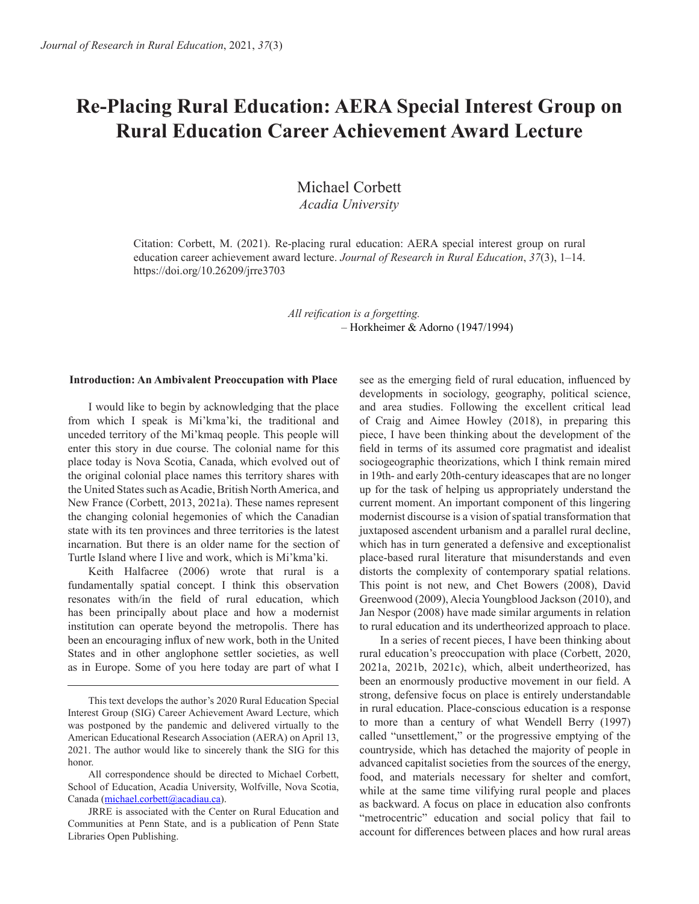# **Re-Placing Rural Education: AERA Special Interest Group on Rural Education Career Achievement Award Lecture**

Michael Corbett *Acadia University*

Citation: Corbett, M. (2021). Re-placing rural education: AERA special interest group on rural education career achievement award lecture. *Journal of Research in Rural Education*, *37*(3), 1–14. https://doi.org/10.26209/jrre3703

> *All reification is a forgetting.* – Horkheimer & Adorno (1947/1994)

#### **Introduction: An Ambivalent Preoccupation with Place**

I would like to begin by acknowledging that the place from which I speak is Mi'kma'ki, the traditional and unceded territory of the Mi'kmaq people. This people will enter this story in due course. The colonial name for this place today is Nova Scotia, Canada, which evolved out of the original colonial place names this territory shares with the United States such as Acadie, British North America, and New France (Corbett, 2013, 2021a). These names represent the changing colonial hegemonies of which the Canadian state with its ten provinces and three territories is the latest incarnation. But there is an older name for the section of Turtle Island where I live and work, which is Mi'kma'ki.

Keith Halfacree (2006) wrote that rural is a fundamentally spatial concept. I think this observation resonates with/in the field of rural education, which has been principally about place and how a modernist institution can operate beyond the metropolis. There has been an encouraging influx of new work, both in the United States and in other anglophone settler societies, as well as in Europe. Some of you here today are part of what I

All correspondence should be directed to Michael Corbett, School of Education, Acadia University, Wolfville, Nova Scotia, Canada (michael.corbett@acadiau.ca).

see as the emerging field of rural education, influenced by developments in sociology, geography, political science, and area studies. Following the excellent critical lead of Craig and Aimee Howley (2018), in preparing this piece, I have been thinking about the development of the field in terms of its assumed core pragmatist and idealist sociogeographic theorizations, which I think remain mired in 19th- and early 20th-century ideascapes that are no longer up for the task of helping us appropriately understand the current moment. An important component of this lingering modernist discourse is a vision of spatial transformation that juxtaposed ascendent urbanism and a parallel rural decline, which has in turn generated a defensive and exceptionalist place-based rural literature that misunderstands and even distorts the complexity of contemporary spatial relations. This point is not new, and Chet Bowers (2008), David Greenwood (2009), Alecia Youngblood Jackson (2010), and Jan Nespor (2008) have made similar arguments in relation to rural education and its undertheorized approach to place.

In a series of recent pieces, I have been thinking about rural education's preoccupation with place (Corbett, 2020, 2021a, 2021b, 2021c), which, albeit undertheorized, has been an enormously productive movement in our field. A strong, defensive focus on place is entirely understandable in rural education. Place-conscious education is a response to more than a century of what Wendell Berry (1997) called "unsettlement," or the progressive emptying of the countryside, which has detached the majority of people in advanced capitalist societies from the sources of the energy, food, and materials necessary for shelter and comfort, while at the same time vilifying rural people and places as backward. A focus on place in education also confronts "metrocentric" education and social policy that fail to account for differences between places and how rural areas

This text develops the author's 2020 Rural Education Special Interest Group (SIG) Career Achievement Award Lecture, which was postponed by the pandemic and delivered virtually to the American Educational Research Association (AERA) on April 13, 2021. The author would like to sincerely thank the SIG for this honor.

JRRE is associated with the Center on Rural Education and Communities at Penn State, and is a publication of Penn State Libraries Open Publishing.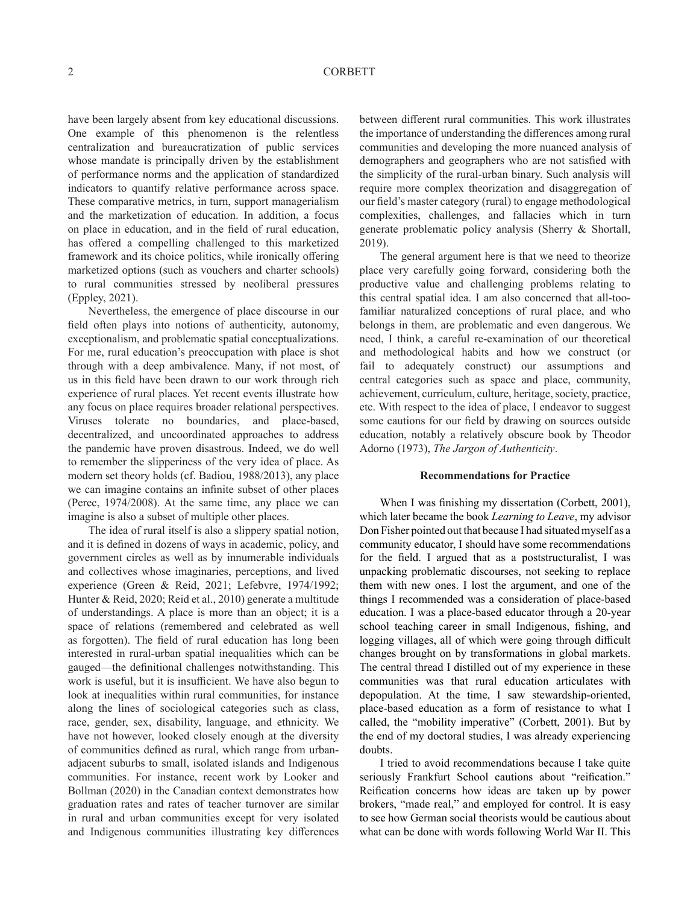have been largely absent from key educational discussions. One example of this phenomenon is the relentless centralization and bureaucratization of public services whose mandate is principally driven by the establishment of performance norms and the application of standardized indicators to quantify relative performance across space. These comparative metrics, in turn, support managerialism and the marketization of education. In addition, a focus on place in education, and in the field of rural education, has offered a compelling challenged to this marketized framework and its choice politics, while ironically offering marketized options (such as vouchers and charter schools) to rural communities stressed by neoliberal pressures (Eppley, 2021).

Nevertheless, the emergence of place discourse in our field often plays into notions of authenticity, autonomy, exceptionalism, and problematic spatial conceptualizations. For me, rural education's preoccupation with place is shot through with a deep ambivalence. Many, if not most, of us in this field have been drawn to our work through rich experience of rural places. Yet recent events illustrate how any focus on place requires broader relational perspectives. Viruses tolerate no boundaries, and place-based, decentralized, and uncoordinated approaches to address the pandemic have proven disastrous. Indeed, we do well to remember the slipperiness of the very idea of place. As modern set theory holds (cf. Badiou, 1988/2013), any place we can imagine contains an infinite subset of other places (Perec, 1974/2008). At the same time, any place we can imagine is also a subset of multiple other places.

The idea of rural itself is also a slippery spatial notion, and it is defined in dozens of ways in academic, policy, and government circles as well as by innumerable individuals and collectives whose imaginaries, perceptions, and lived experience (Green & Reid, 2021; Lefebvre, 1974/1992; Hunter & Reid, 2020; Reid et al., 2010) generate a multitude of understandings. A place is more than an object; it is a space of relations (remembered and celebrated as well as forgotten). The field of rural education has long been interested in rural-urban spatial inequalities which can be gauged—the definitional challenges notwithstanding. This work is useful, but it is insufficient. We have also begun to look at inequalities within rural communities, for instance along the lines of sociological categories such as class, race, gender, sex, disability, language, and ethnicity. We have not however, looked closely enough at the diversity of communities defined as rural, which range from urbanadjacent suburbs to small, isolated islands and Indigenous communities. For instance, recent work by Looker and Bollman (2020) in the Canadian context demonstrates how graduation rates and rates of teacher turnover are similar in rural and urban communities except for very isolated and Indigenous communities illustrating key differences between different rural communities. This work illustrates the importance of understanding the differences among rural communities and developing the more nuanced analysis of demographers and geographers who are not satisfied with the simplicity of the rural-urban binary. Such analysis will require more complex theorization and disaggregation of our field's master category (rural) to engage methodological complexities, challenges, and fallacies which in turn generate problematic policy analysis (Sherry & Shortall, 2019).

The general argument here is that we need to theorize place very carefully going forward, considering both the productive value and challenging problems relating to this central spatial idea. I am also concerned that all-toofamiliar naturalized conceptions of rural place, and who belongs in them, are problematic and even dangerous. We need, I think, a careful re-examination of our theoretical and methodological habits and how we construct (or fail to adequately construct) our assumptions and central categories such as space and place, community, achievement, curriculum, culture, heritage, society, practice, etc. With respect to the idea of place, I endeavor to suggest some cautions for our field by drawing on sources outside education, notably a relatively obscure book by Theodor Adorno (1973), *The Jargon of Authenticity*.

#### **Recommendations for Practice**

When I was finishing my dissertation (Corbett, 2001), which later became the book *Learning to Leave*, my advisor Don Fisher pointed out that because I had situated myself as a community educator, I should have some recommendations for the field. I argued that as a poststructuralist, I was unpacking problematic discourses, not seeking to replace them with new ones. I lost the argument, and one of the things I recommended was a consideration of place-based education. I was a place-based educator through a 20-year school teaching career in small Indigenous, fishing, and logging villages, all of which were going through difficult changes brought on by transformations in global markets. The central thread I distilled out of my experience in these communities was that rural education articulates with depopulation. At the time, I saw stewardship-oriented, place-based education as a form of resistance to what I called, the "mobility imperative" (Corbett, 2001). But by the end of my doctoral studies, I was already experiencing doubts.

I tried to avoid recommendations because I take quite seriously Frankfurt School cautions about "reification." Reification concerns how ideas are taken up by power brokers, "made real," and employed for control. It is easy to see how German social theorists would be cautious about what can be done with words following World War II. This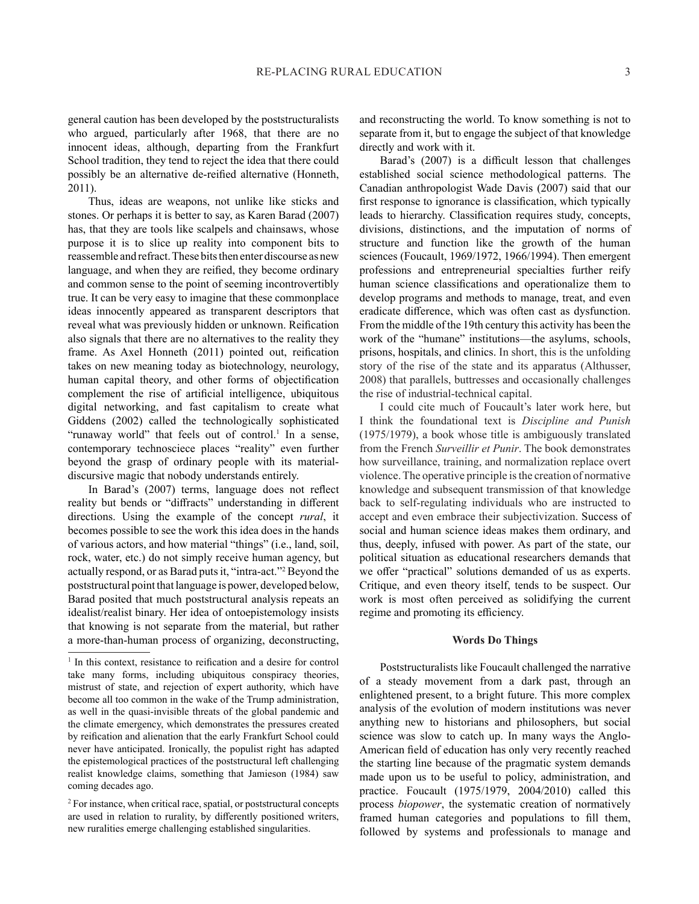general caution has been developed by the poststructuralists who argued, particularly after 1968, that there are no innocent ideas, although, departing from the Frankfurt School tradition, they tend to reject the idea that there could possibly be an alternative de-reified alternative (Honneth, 2011).

Thus, ideas are weapons, not unlike like sticks and stones. Or perhaps it is better to say, as Karen Barad (2007) has, that they are tools like scalpels and chainsaws, whose purpose it is to slice up reality into component bits to reassemble and refract. These bits then enter discourse as new language, and when they are reified, they become ordinary and common sense to the point of seeming incontrovertibly true. It can be very easy to imagine that these commonplace ideas innocently appeared as transparent descriptors that reveal what was previously hidden or unknown. Reification also signals that there are no alternatives to the reality they frame. As Axel Honneth (2011) pointed out, reification takes on new meaning today as biotechnology, neurology, human capital theory, and other forms of objectification complement the rise of artificial intelligence, ubiquitous digital networking, and fast capitalism to create what Giddens (2002) called the technologically sophisticated "runaway world" that feels out of control.<sup>1</sup> In a sense, contemporary technosciece places "reality" even further beyond the grasp of ordinary people with its materialdiscursive magic that nobody understands entirely.

In Barad's (2007) terms, language does not reflect reality but bends or "diffracts" understanding in different directions. Using the example of the concept *rural*, it becomes possible to see the work this idea does in the hands of various actors, and how material "things" (i.e., land, soil, rock, water, etc.) do not simply receive human agency, but actually respond, or as Barad puts it, "intra-act."2 Beyond the poststructural point that language is power, developed below, Barad posited that much poststructural analysis repeats an idealist/realist binary. Her idea of ontoepistemology insists that knowing is not separate from the material, but rather a more-than-human process of organizing, deconstructing,

and reconstructing the world. To know something is not to separate from it, but to engage the subject of that knowledge directly and work with it.

Barad's (2007) is a difficult lesson that challenges established social science methodological patterns. The Canadian anthropologist Wade Davis (2007) said that our first response to ignorance is classification, which typically leads to hierarchy. Classification requires study, concepts, divisions, distinctions, and the imputation of norms of structure and function like the growth of the human sciences (Foucault, 1969/1972, 1966/1994). Then emergent professions and entrepreneurial specialties further reify human science classifications and operationalize them to develop programs and methods to manage, treat, and even eradicate difference, which was often cast as dysfunction. From the middle of the 19th century this activity has been the work of the "humane" institutions—the asylums, schools, prisons, hospitals, and clinics. In short, this is the unfolding story of the rise of the state and its apparatus (Althusser, 2008) that parallels, buttresses and occasionally challenges the rise of industrial-technical capital.

I could cite much of Foucault's later work here, but I think the foundational text is *Discipline and Punish*  (1975/1979), a book whose title is ambiguously translated from the French *Surveillir et Punir*. The book demonstrates how surveillance, training, and normalization replace overt violence. The operative principle is the creation of normative knowledge and subsequent transmission of that knowledge back to self-regulating individuals who are instructed to accept and even embrace their subjectivization. Success of social and human science ideas makes them ordinary, and thus, deeply, infused with power. As part of the state, our political situation as educational researchers demands that we offer "practical" solutions demanded of us as experts. Critique, and even theory itself, tends to be suspect. Our work is most often perceived as solidifying the current regime and promoting its efficiency.

# **Words Do Things**

Poststructuralists like Foucault challenged the narrative of a steady movement from a dark past, through an enlightened present, to a bright future. This more complex analysis of the evolution of modern institutions was never anything new to historians and philosophers, but social science was slow to catch up. In many ways the Anglo-American field of education has only very recently reached the starting line because of the pragmatic system demands made upon us to be useful to policy, administration, and practice. Foucault (1975/1979, 2004/2010) called this process *biopower*, the systematic creation of normatively framed human categories and populations to fill them, followed by systems and professionals to manage and

<sup>&</sup>lt;sup>1</sup> In this context, resistance to reification and a desire for control take many forms, including ubiquitous conspiracy theories, mistrust of state, and rejection of expert authority, which have become all too common in the wake of the Trump administration, as well in the quasi-invisible threats of the global pandemic and the climate emergency, which demonstrates the pressures created by reification and alienation that the early Frankfurt School could never have anticipated. Ironically, the populist right has adapted the epistemological practices of the poststructural left challenging realist knowledge claims, something that Jamieson (1984) saw coming decades ago.

<sup>&</sup>lt;sup>2</sup> For instance, when critical race, spatial, or poststructural concepts are used in relation to rurality, by differently positioned writers, new ruralities emerge challenging established singularities.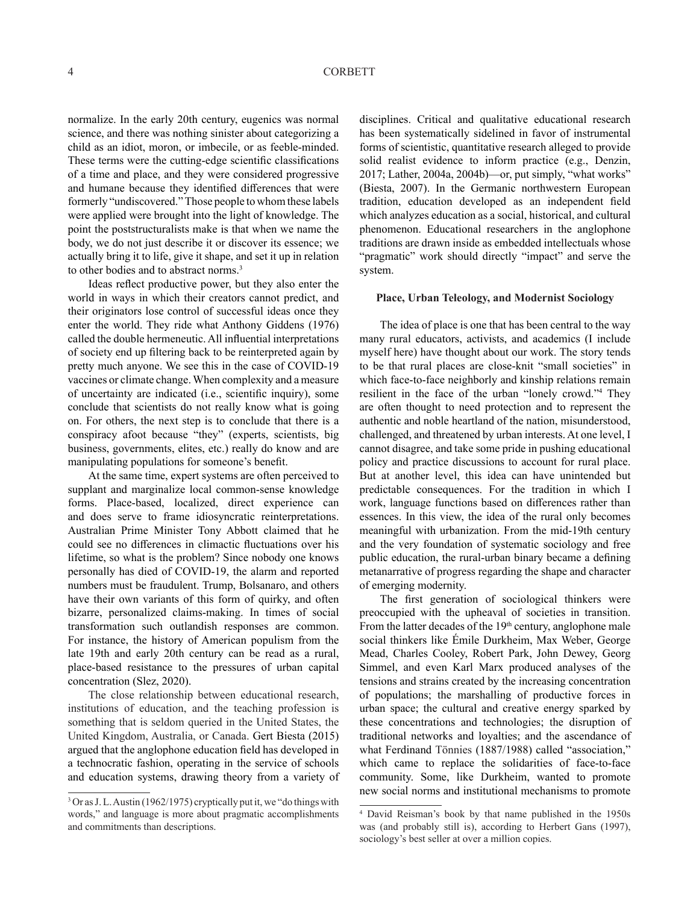normalize. In the early 20th century, eugenics was normal science, and there was nothing sinister about categorizing a child as an idiot, moron, or imbecile, or as feeble-minded. These terms were the cutting-edge scientific classifications of a time and place, and they were considered progressive and humane because they identified differences that were formerly "undiscovered." Those people to whom these labels were applied were brought into the light of knowledge. The point the poststructuralists make is that when we name the body, we do not just describe it or discover its essence; we actually bring it to life, give it shape, and set it up in relation to other bodies and to abstract norms.<sup>3</sup>

Ideas reflect productive power, but they also enter the world in ways in which their creators cannot predict, and their originators lose control of successful ideas once they enter the world. They ride what Anthony Giddens (1976) called the double hermeneutic. All influential interpretations of society end up filtering back to be reinterpreted again by pretty much anyone. We see this in the case of COVID-19 vaccines or climate change. When complexity and a measure of uncertainty are indicated (i.e., scientific inquiry), some conclude that scientists do not really know what is going on. For others, the next step is to conclude that there is a conspiracy afoot because "they" (experts, scientists, big business, governments, elites, etc.) really do know and are manipulating populations for someone's benefit.

At the same time, expert systems are often perceived to supplant and marginalize local common-sense knowledge forms. Place-based, localized, direct experience can and does serve to frame idiosyncratic reinterpretations. Australian Prime Minister Tony Abbott claimed that he could see no differences in climactic fluctuations over his lifetime, so what is the problem? Since nobody one knows personally has died of COVID-19, the alarm and reported numbers must be fraudulent. Trump, Bolsanaro, and others have their own variants of this form of quirky, and often bizarre, personalized claims-making. In times of social transformation such outlandish responses are common. For instance, the history of American populism from the late 19th and early 20th century can be read as a rural, place-based resistance to the pressures of urban capital concentration (Slez, 2020).

The close relationship between educational research, institutions of education, and the teaching profession is something that is seldom queried in the United States, the United Kingdom, Australia, or Canada. Gert Biesta (2015) argued that the anglophone education field has developed in a technocratic fashion, operating in the service of schools and education systems, drawing theory from a variety of disciplines. Critical and qualitative educational research has been systematically sidelined in favor of instrumental forms of scientistic, quantitative research alleged to provide solid realist evidence to inform practice (e.g., Denzin, 2017; Lather, 2004a, 2004b)—or, put simply, "what works" (Biesta, 2007). In the Germanic northwestern European tradition, education developed as an independent field which analyzes education as a social, historical, and cultural phenomenon. Educational researchers in the anglophone traditions are drawn inside as embedded intellectuals whose "pragmatic" work should directly "impact" and serve the system.

# **Place, Urban Teleology, and Modernist Sociology**

The idea of place is one that has been central to the way many rural educators, activists, and academics (I include myself here) have thought about our work. The story tends to be that rural places are close-knit "small societies" in which face-to-face neighborly and kinship relations remain resilient in the face of the urban "lonely crowd."4 They are often thought to need protection and to represent the authentic and noble heartland of the nation, misunderstood, challenged, and threatened by urban interests. At one level, I cannot disagree, and take some pride in pushing educational policy and practice discussions to account for rural place. But at another level, this idea can have unintended but predictable consequences. For the tradition in which I work, language functions based on differences rather than essences. In this view, the idea of the rural only becomes meaningful with urbanization. From the mid-19th century and the very foundation of systematic sociology and free public education, the rural-urban binary became a defining metanarrative of progress regarding the shape and character of emerging modernity.

The first generation of sociological thinkers were preoccupied with the upheaval of societies in transition. From the latter decades of the  $19<sup>th</sup>$  century, anglophone male social thinkers like Émile Durkheim, Max Weber, George Mead, Charles Cooley, Robert Park, John Dewey, Georg Simmel, and even Karl Marx produced analyses of the tensions and strains created by the increasing concentration of populations; the marshalling of productive forces in urban space; the cultural and creative energy sparked by these concentrations and technologies; the disruption of traditional networks and loyalties; and the ascendance of what Ferdinand Tönnies (1887/1988) called "association," which came to replace the solidarities of face-to-face community. Some, like Durkheim, wanted to promote new social norms and institutional mechanisms to promote

<sup>&</sup>lt;sup>3</sup> Or as J. L. Austin (1962/1975) cryptically put it, we "do things with words," and language is more about pragmatic accomplishments and commitments than descriptions.

<sup>4</sup> David Reisman's book by that name published in the 1950s was (and probably still is), according to Herbert Gans (1997), sociology's best seller at over a million copies.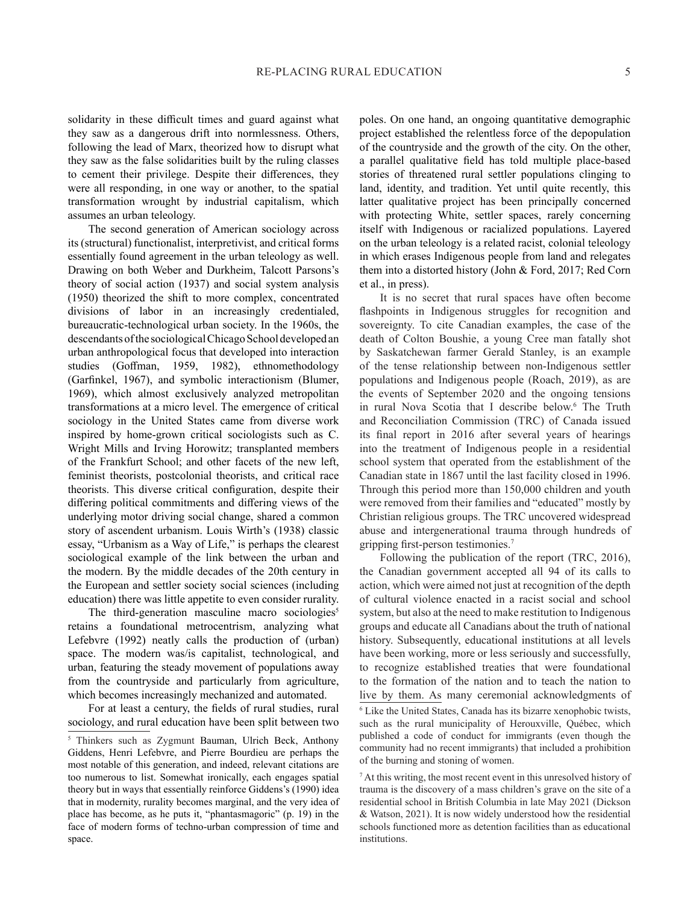solidarity in these difficult times and guard against what they saw as a dangerous drift into normlessness. Others, following the lead of Marx, theorized how to disrupt what they saw as the false solidarities built by the ruling classes to cement their privilege. Despite their differences, they were all responding, in one way or another, to the spatial transformation wrought by industrial capitalism, which assumes an urban teleology.

The second generation of American sociology across its (structural) functionalist, interpretivist, and critical forms essentially found agreement in the urban teleology as well. Drawing on both Weber and Durkheim, Talcott Parsons's theory of social action (1937) and social system analysis (1950) theorized the shift to more complex, concentrated divisions of labor in an increasingly credentialed, bureaucratic-technological urban society. In the 1960s, the descendants of the sociological Chicago School developed an urban anthropological focus that developed into interaction studies (Goffman, 1959, 1982), ethnomethodology (Garfinkel, 1967), and symbolic interactionism (Blumer, 1969), which almost exclusively analyzed metropolitan transformations at a micro level. The emergence of critical sociology in the United States came from diverse work inspired by home-grown critical sociologists such as C. Wright Mills and Irving Horowitz; transplanted members of the Frankfurt School; and other facets of the new left, feminist theorists, postcolonial theorists, and critical race theorists. This diverse critical configuration, despite their differing political commitments and differing views of the underlying motor driving social change, shared a common story of ascendent urbanism. Louis Wirth's (1938) classic essay, "Urbanism as a Way of Life," is perhaps the clearest sociological example of the link between the urban and the modern. By the middle decades of the 20th century in the European and settler society social sciences (including education) there was little appetite to even consider rurality.

The third-generation masculine macro sociologies<sup>5</sup> retains a foundational metrocentrism, analyzing what Lefebvre (1992) neatly calls the production of (urban) space. The modern was/is capitalist, technological, and urban, featuring the steady movement of populations away from the countryside and particularly from agriculture, which becomes increasingly mechanized and automated.

For at least a century, the fields of rural studies, rural sociology, and rural education have been split between two poles. On one hand, an ongoing quantitative demographic project established the relentless force of the depopulation of the countryside and the growth of the city. On the other, a parallel qualitative field has told multiple place-based stories of threatened rural settler populations clinging to land, identity, and tradition. Yet until quite recently, this latter qualitative project has been principally concerned with protecting White, settler spaces, rarely concerning itself with Indigenous or racialized populations. Layered on the urban teleology is a related racist, colonial teleology in which erases Indigenous people from land and relegates them into a distorted history (John & Ford, 2017; Red Corn et al., in press).

It is no secret that rural spaces have often become flashpoints in Indigenous struggles for recognition and sovereignty. To cite Canadian examples, the case of the death of Colton Boushie, a young Cree man fatally shot by Saskatchewan farmer Gerald Stanley, is an example of the tense relationship between non-Indigenous settler populations and Indigenous people (Roach, 2019), as are the events of September 2020 and the ongoing tensions in rural Nova Scotia that I describe below.6 The Truth and Reconciliation Commission (TRC) of Canada issued its final report in 2016 after several years of hearings into the treatment of Indigenous people in a residential school system that operated from the establishment of the Canadian state in 1867 until the last facility closed in 1996. Through this period more than 150,000 children and youth were removed from their families and "educated" mostly by Christian religious groups. The TRC uncovered widespread abuse and intergenerational trauma through hundreds of gripping first-person testimonies.<sup>7</sup>

Following the publication of the report (TRC, 2016), the Canadian government accepted all 94 of its calls to action, which were aimed not just at recognition of the depth of cultural violence enacted in a racist social and school system, but also at the need to make restitution to Indigenous groups and educate all Canadians about the truth of national history. Subsequently, educational institutions at all levels have been working, more or less seriously and successfully, to recognize established treaties that were foundational to the formation of the nation and to teach the nation to live by them. As many ceremonial acknowledgments of 6 Like the United States, Canada has its bizarre xenophobic twists,

such as the rural municipality of Herouxville, Québec, which published a code of conduct for immigrants (even though the community had no recent immigrants) that included a prohibition of the burning and stoning of women.

<sup>7</sup> At this writing, the most recent event in this unresolved history of trauma is the discovery of a mass children's grave on the site of a residential school in British Columbia in late May 2021 (Dickson & Watson, 2021). It is now widely understood how the residential schools functioned more as detention facilities than as educational institutions.

<sup>5</sup> Thinkers such as Zygmunt Bauman, Ulrich Beck, Anthony Giddens, Henri Lefebvre, and Pierre Bourdieu are perhaps the most notable of this generation, and indeed, relevant citations are too numerous to list. Somewhat ironically, each engages spatial theory but in ways that essentially reinforce Giddens's (1990) idea that in modernity, rurality becomes marginal, and the very idea of place has become, as he puts it, "phantasmagoric" (p. 19) in the face of modern forms of techno-urban compression of time and space.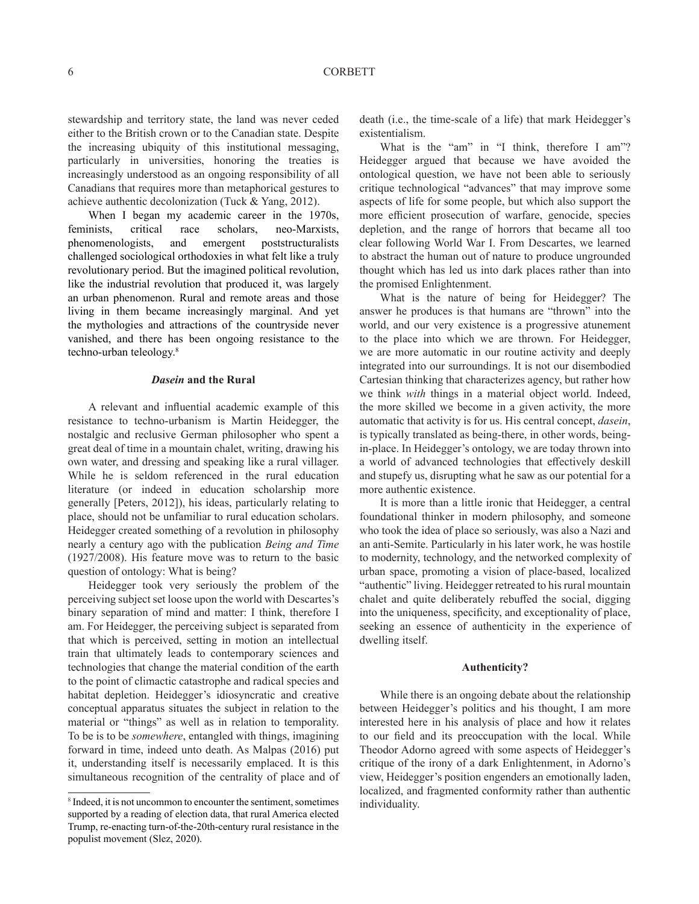# 6 CORBETT

stewardship and territory state, the land was never ceded either to the British crown or to the Canadian state. Despite the increasing ubiquity of this institutional messaging, particularly in universities, honoring the treaties is increasingly understood as an ongoing responsibility of all Canadians that requires more than metaphorical gestures to achieve authentic decolonization (Tuck & Yang, 2012).

When I began my academic career in the 1970s, feminists, critical race scholars, neo-Marxists, phenomenologists, and emergent poststructuralists challenged sociological orthodoxies in what felt like a truly revolutionary period. But the imagined political revolution, like the industrial revolution that produced it, was largely an urban phenomenon. Rural and remote areas and those living in them became increasingly marginal. And yet the mythologies and attractions of the countryside never vanished, and there has been ongoing resistance to the techno-urban teleology.8

### *Dasein* **and the Rural**

A relevant and influential academic example of this resistance to techno-urbanism is Martin Heidegger, the nostalgic and reclusive German philosopher who spent a great deal of time in a mountain chalet, writing, drawing his own water, and dressing and speaking like a rural villager. While he is seldom referenced in the rural education literature (or indeed in education scholarship more generally [Peters, 2012]), his ideas, particularly relating to place, should not be unfamiliar to rural education scholars. Heidegger created something of a revolution in philosophy nearly a century ago with the publication *Being and Time* (1927/2008). His feature move was to return to the basic question of ontology: What is being?

Heidegger took very seriously the problem of the perceiving subject set loose upon the world with Descartes's binary separation of mind and matter: I think, therefore I am. For Heidegger, the perceiving subject is separated from that which is perceived, setting in motion an intellectual train that ultimately leads to contemporary sciences and technologies that change the material condition of the earth to the point of climactic catastrophe and radical species and habitat depletion. Heidegger's idiosyncratic and creative conceptual apparatus situates the subject in relation to the material or "things" as well as in relation to temporality. To be is to be *somewhere*, entangled with things, imagining forward in time, indeed unto death. As Malpas (2016) put it, understanding itself is necessarily emplaced. It is this simultaneous recognition of the centrality of place and of death (i.e., the time-scale of a life) that mark Heidegger's existentialism.

What is the "am" in "I think, therefore I am"? Heidegger argued that because we have avoided the ontological question, we have not been able to seriously critique technological "advances" that may improve some aspects of life for some people, but which also support the more efficient prosecution of warfare, genocide, species depletion, and the range of horrors that became all too clear following World War I. From Descartes, we learned to abstract the human out of nature to produce ungrounded thought which has led us into dark places rather than into the promised Enlightenment.

What is the nature of being for Heidegger? The answer he produces is that humans are "thrown" into the world, and our very existence is a progressive atunement to the place into which we are thrown. For Heidegger, we are more automatic in our routine activity and deeply integrated into our surroundings. It is not our disembodied Cartesian thinking that characterizes agency, but rather how we think *with* things in a material object world. Indeed, the more skilled we become in a given activity, the more automatic that activity is for us. His central concept, *dasein*, is typically translated as being-there, in other words, beingin-place. In Heidegger's ontology, we are today thrown into a world of advanced technologies that effectively deskill and stupefy us, disrupting what he saw as our potential for a more authentic existence.

It is more than a little ironic that Heidegger, a central foundational thinker in modern philosophy, and someone who took the idea of place so seriously, was also a Nazi and an anti-Semite. Particularly in his later work, he was hostile to modernity, technology, and the networked complexity of urban space, promoting a vision of place-based, localized "authentic" living. Heidegger retreated to his rural mountain chalet and quite deliberately rebuffed the social, digging into the uniqueness, specificity, and exceptionality of place, seeking an essence of authenticity in the experience of dwelling itself.

#### **Authenticity?**

While there is an ongoing debate about the relationship between Heidegger's politics and his thought, I am more interested here in his analysis of place and how it relates to our field and its preoccupation with the local. While Theodor Adorno agreed with some aspects of Heidegger's critique of the irony of a dark Enlightenment, in Adorno's view, Heidegger's position engenders an emotionally laden, localized, and fragmented conformity rather than authentic individuality.

<sup>8</sup> Indeed, it is not uncommon to encounter the sentiment, sometimes supported by a reading of election data, that rural America elected Trump, re-enacting turn-of-the-20th-century rural resistance in the populist movement (Slez, 2020).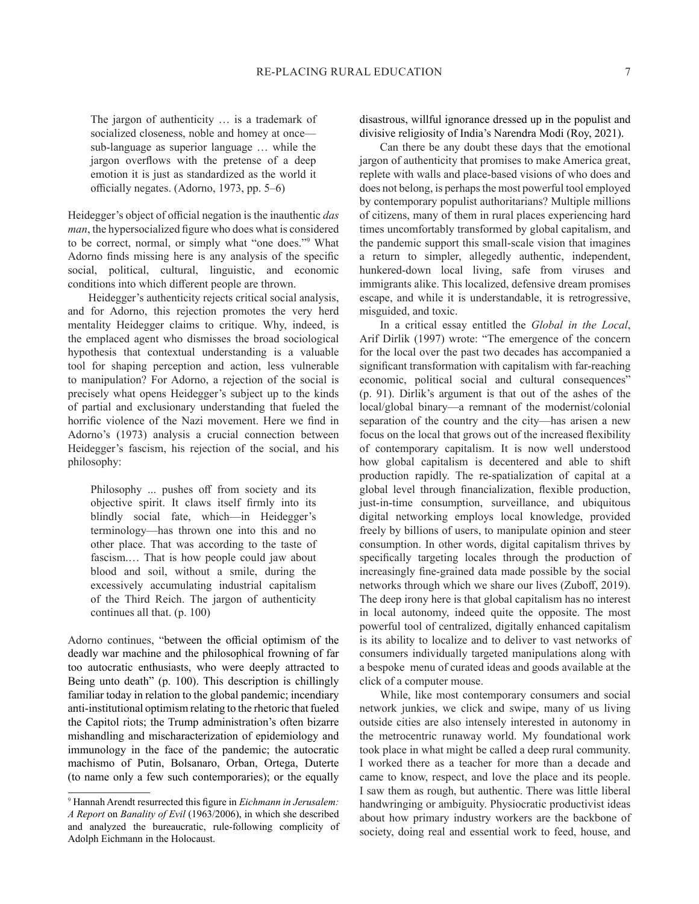The jargon of authenticity … is a trademark of socialized closeness, noble and homey at once sub-language as superior language … while the jargon overflows with the pretense of a deep emotion it is just as standardized as the world it officially negates. (Adorno, 1973, pp. 5–6)

Heidegger's object of official negation is the inauthentic *das man*, the hypersocialized figure who does what is considered to be correct, normal, or simply what "one does."9 What Adorno finds missing here is any analysis of the specific social, political, cultural, linguistic, and economic conditions into which different people are thrown.

Heidegger's authenticity rejects critical social analysis, and for Adorno, this rejection promotes the very herd mentality Heidegger claims to critique. Why, indeed, is the emplaced agent who dismisses the broad sociological hypothesis that contextual understanding is a valuable tool for shaping perception and action, less vulnerable to manipulation? For Adorno, a rejection of the social is precisely what opens Heidegger's subject up to the kinds of partial and exclusionary understanding that fueled the horrific violence of the Nazi movement. Here we find in Adorno's (1973) analysis a crucial connection between Heidegger's fascism, his rejection of the social, and his philosophy:

Philosophy ... pushes off from society and its objective spirit. It claws itself firmly into its blindly social fate, which—in Heidegger's terminology—has thrown one into this and no other place. That was according to the taste of fascism.… That is how people could jaw about blood and soil, without a smile, during the excessively accumulating industrial capitalism of the Third Reich. The jargon of authenticity continues all that. (p. 100)

Adorno continues, "between the official optimism of the deadly war machine and the philosophical frowning of far too autocratic enthusiasts, who were deeply attracted to Being unto death" (p. 100). This description is chillingly familiar today in relation to the global pandemic; incendiary anti-institutional optimism relating to the rhetoric that fueled the Capitol riots; the Trump administration's often bizarre mishandling and mischaracterization of epidemiology and immunology in the face of the pandemic; the autocratic machismo of Putin, Bolsanaro, Orban, Ortega, Duterte (to name only a few such contemporaries); or the equally

disastrous, willful ignorance dressed up in the populist and divisive religiosity of India's Narendra Modi (Roy, 2021).

Can there be any doubt these days that the emotional jargon of authenticity that promises to make America great, replete with walls and place-based visions of who does and does not belong, is perhaps the most powerful tool employed by contemporary populist authoritarians? Multiple millions of citizens, many of them in rural places experiencing hard times uncomfortably transformed by global capitalism, and the pandemic support this small-scale vision that imagines a return to simpler, allegedly authentic, independent, hunkered-down local living, safe from viruses and immigrants alike. This localized, defensive dream promises escape, and while it is understandable, it is retrogressive, misguided, and toxic.

In a critical essay entitled the *Global in the Local*, Arif Dirlik (1997) wrote: "The emergence of the concern for the local over the past two decades has accompanied a significant transformation with capitalism with far-reaching economic, political social and cultural consequences" (p. 91). Dirlik's argument is that out of the ashes of the local/global binary—a remnant of the modernist/colonial separation of the country and the city—has arisen a new focus on the local that grows out of the increased flexibility of contemporary capitalism. It is now well understood how global capitalism is decentered and able to shift production rapidly. The re-spatialization of capital at a global level through financialization, flexible production, just-in-time consumption, surveillance, and ubiquitous digital networking employs local knowledge, provided freely by billions of users, to manipulate opinion and steer consumption. In other words, digital capitalism thrives by specifically targeting locales through the production of increasingly fine-grained data made possible by the social networks through which we share our lives (Zuboff, 2019). The deep irony here is that global capitalism has no interest in local autonomy, indeed quite the opposite. The most powerful tool of centralized, digitally enhanced capitalism is its ability to localize and to deliver to vast networks of consumers individually targeted manipulations along with a bespoke menu of curated ideas and goods available at the click of a computer mouse.

While, like most contemporary consumers and social network junkies, we click and swipe, many of us living outside cities are also intensely interested in autonomy in the metrocentric runaway world. My foundational work took place in what might be called a deep rural community. I worked there as a teacher for more than a decade and came to know, respect, and love the place and its people. I saw them as rough, but authentic. There was little liberal handwringing or ambiguity. Physiocratic productivist ideas about how primary industry workers are the backbone of society, doing real and essential work to feed, house, and

<sup>9</sup> Hannah Arendt resurrected this figure in *Eichmann in Jerusalem: A Report* on *Banality of Evil* (1963/2006), in which she described and analyzed the bureaucratic, rule-following complicity of Adolph Eichmann in the Holocaust.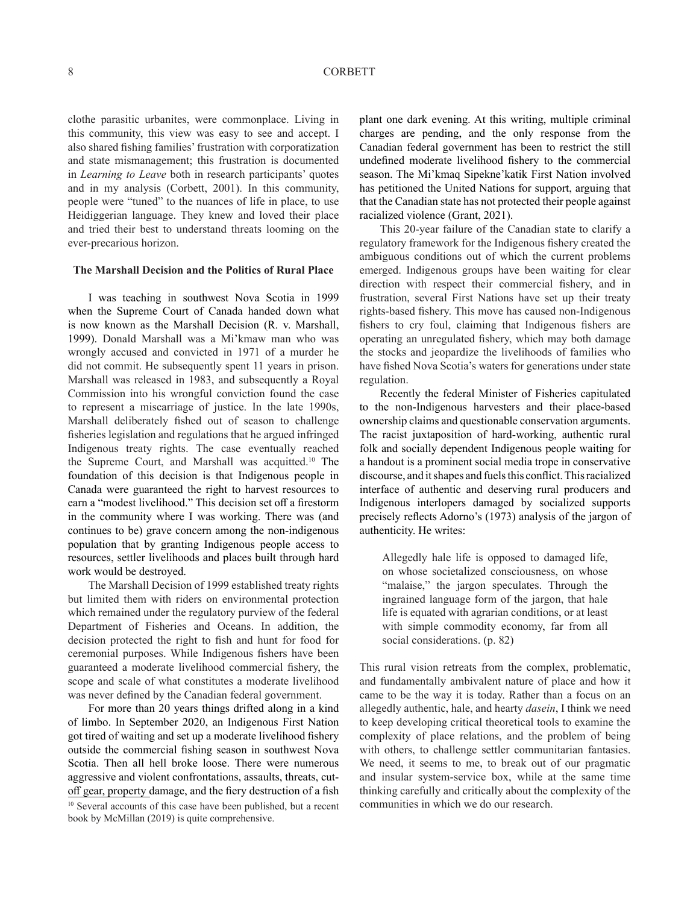clothe parasitic urbanites, were commonplace. Living in this community, this view was easy to see and accept. I also shared fishing families' frustration with corporatization and state mismanagement; this frustration is documented in *Learning to Leave* both in research participants' quotes and in my analysis (Corbett, 2001). In this community, people were "tuned" to the nuances of life in place, to use Heidiggerian language. They knew and loved their place and tried their best to understand threats looming on the ever-precarious horizon.

## **The Marshall Decision and the Politics of Rural Place**

I was teaching in southwest Nova Scotia in 1999 when the Supreme Court of Canada handed down what is now known as the Marshall Decision (R. v. Marshall, 1999). Donald Marshall was a Mi'kmaw man who was wrongly accused and convicted in 1971 of a murder he did not commit. He subsequently spent 11 years in prison. Marshall was released in 1983, and subsequently a Royal Commission into his wrongful conviction found the case to represent a miscarriage of justice. In the late 1990s, Marshall deliberately fished out of season to challenge fisheries legislation and regulations that he argued infringed Indigenous treaty rights. The case eventually reached the Supreme Court, and Marshall was acquitted.<sup>10</sup> The foundation of this decision is that Indigenous people in Canada were guaranteed the right to harvest resources to earn a "modest livelihood." This decision set off a firestorm in the community where I was working. There was (and continues to be) grave concern among the non-indigenous population that by granting Indigenous people access to resources, settler livelihoods and places built through hard work would be destroyed.

The Marshall Decision of 1999 established treaty rights but limited them with riders on environmental protection which remained under the regulatory purview of the federal Department of Fisheries and Oceans. In addition, the decision protected the right to fish and hunt for food for ceremonial purposes. While Indigenous fishers have been guaranteed a moderate livelihood commercial fishery, the scope and scale of what constitutes a moderate livelihood was never defined by the Canadian federal government.

For more than 20 years things drifted along in a kind of limbo. In September 2020, an Indigenous First Nation got tired of waiting and set up a moderate livelihood fishery outside the commercial fishing season in southwest Nova Scotia. Then all hell broke loose. There were numerous aggressive and violent confrontations, assaults, threats, cutoff gear, property damage, and the fiery destruction of a fish <sup>10</sup> Several accounts of this case have been published, but a recent book by McMillan (2019) is quite comprehensive.

plant one dark evening. At this writing, multiple criminal charges are pending, and the only response from the Canadian federal government has been to restrict the still undefined moderate livelihood fishery to the commercial season. The Mi'kmaq Sipekne'katik First Nation involved has petitioned the United Nations for support, arguing that that the Canadian state has not protected their people against racialized violence (Grant, 2021).

This 20-year failure of the Canadian state to clarify a regulatory framework for the Indigenous fishery created the ambiguous conditions out of which the current problems emerged. Indigenous groups have been waiting for clear direction with respect their commercial fishery, and in frustration, several First Nations have set up their treaty rights-based fishery. This move has caused non-Indigenous fishers to cry foul, claiming that Indigenous fishers are operating an unregulated fishery, which may both damage the stocks and jeopardize the livelihoods of families who have fished Nova Scotia's waters for generations under state regulation.

Recently the federal Minister of Fisheries capitulated to the non-Indigenous harvesters and their place-based ownership claims and questionable conservation arguments. The racist juxtaposition of hard-working, authentic rural folk and socially dependent Indigenous people waiting for a handout is a prominent social media trope in conservative discourse, and it shapes and fuels this conflict. This racialized interface of authentic and deserving rural producers and Indigenous interlopers damaged by socialized supports precisely reflects Adorno's (1973) analysis of the jargon of authenticity. He writes:

Allegedly hale life is opposed to damaged life, on whose societalized consciousness, on whose "malaise," the jargon speculates. Through the ingrained language form of the jargon, that hale life is equated with agrarian conditions, or at least with simple commodity economy, far from all social considerations. (p. 82)

This rural vision retreats from the complex, problematic, and fundamentally ambivalent nature of place and how it came to be the way it is today. Rather than a focus on an allegedly authentic, hale, and hearty *dasein*, I think we need to keep developing critical theoretical tools to examine the complexity of place relations, and the problem of being with others, to challenge settler communitarian fantasies. We need, it seems to me, to break out of our pragmatic and insular system-service box, while at the same time thinking carefully and critically about the complexity of the communities in which we do our research.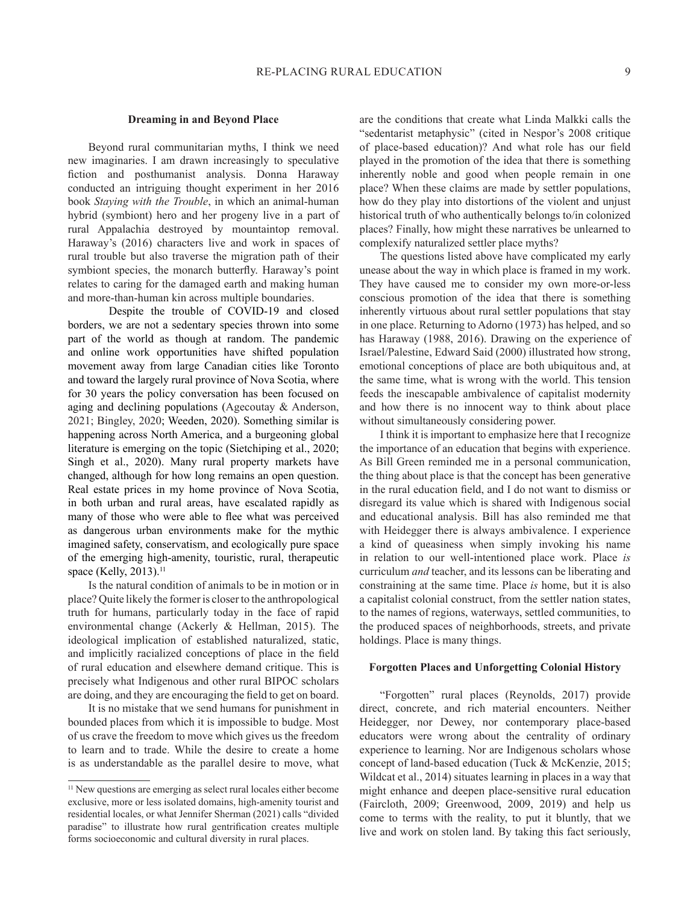### **Dreaming in and Beyond Place**

Beyond rural communitarian myths, I think we need new imaginaries. I am drawn increasingly to speculative fiction and posthumanist analysis. Donna Haraway conducted an intriguing thought experiment in her 2016 book *Staying with the Trouble*, in which an animal-human hybrid (symbiont) hero and her progeny live in a part of rural Appalachia destroyed by mountaintop removal. Haraway's (2016) characters live and work in spaces of rural trouble but also traverse the migration path of their symbiont species, the monarch butterfly. Haraway's point relates to caring for the damaged earth and making human and more-than-human kin across multiple boundaries.

Despite the trouble of COVID-19 and closed borders, we are not a sedentary species thrown into some part of the world as though at random. The pandemic and online work opportunities have shifted population movement away from large Canadian cities like Toronto and toward the largely rural province of Nova Scotia, where for 30 years the policy conversation has been focused on aging and declining populations (Agecoutay & Anderson, 2021; Bingley, 2020; Weeden, 2020). Something similar is happening across North America, and a burgeoning global literature is emerging on the topic (Sietchiping et al., 2020; Singh et al., 2020). Many rural property markets have changed, although for how long remains an open question. Real estate prices in my home province of Nova Scotia, in both urban and rural areas, have escalated rapidly as many of those who were able to flee what was perceived as dangerous urban environments make for the mythic imagined safety, conservatism, and ecologically pure space of the emerging high-amenity, touristic, rural, therapeutic space (Kelly, 2013).<sup>11</sup>

Is the natural condition of animals to be in motion or in place? Quite likely the former is closer to the anthropological truth for humans, particularly today in the face of rapid environmental change (Ackerly & Hellman, 2015). The ideological implication of established naturalized, static, and implicitly racialized conceptions of place in the field of rural education and elsewhere demand critique. This is precisely what Indigenous and other rural BIPOC scholars are doing, and they are encouraging the field to get on board.

It is no mistake that we send humans for punishment in bounded places from which it is impossible to budge. Most of us crave the freedom to move which gives us the freedom to learn and to trade. While the desire to create a home is as understandable as the parallel desire to move, what are the conditions that create what Linda Malkki calls the "sedentarist metaphysic" (cited in Nespor's 2008 critique of place-based education)? And what role has our field played in the promotion of the idea that there is something inherently noble and good when people remain in one place? When these claims are made by settler populations, how do they play into distortions of the violent and unjust historical truth of who authentically belongs to/in colonized places? Finally, how might these narratives be unlearned to complexify naturalized settler place myths?

The questions listed above have complicated my early unease about the way in which place is framed in my work. They have caused me to consider my own more-or-less conscious promotion of the idea that there is something inherently virtuous about rural settler populations that stay in one place. Returning to Adorno (1973) has helped, and so has Haraway (1988, 2016). Drawing on the experience of Israel/Palestine, Edward Said (2000) illustrated how strong, emotional conceptions of place are both ubiquitous and, at the same time, what is wrong with the world. This tension feeds the inescapable ambivalence of capitalist modernity and how there is no innocent way to think about place without simultaneously considering power.

I think it is important to emphasize here that I recognize the importance of an education that begins with experience. As Bill Green reminded me in a personal communication, the thing about place is that the concept has been generative in the rural education field, and I do not want to dismiss or disregard its value which is shared with Indigenous social and educational analysis. Bill has also reminded me that with Heidegger there is always ambivalence. I experience a kind of queasiness when simply invoking his name in relation to our well-intentioned place work. Place *is* curriculum *and* teacher, and its lessons can be liberating and constraining at the same time. Place *is* home, but it is also a capitalist colonial construct, from the settler nation states, to the names of regions, waterways, settled communities, to the produced spaces of neighborhoods, streets, and private holdings. Place is many things.

## **Forgotten Places and Unforgetting Colonial History**

"Forgotten" rural places (Reynolds, 2017) provide direct, concrete, and rich material encounters. Neither Heidegger, nor Dewey, nor contemporary place-based educators were wrong about the centrality of ordinary experience to learning. Nor are Indigenous scholars whose concept of land-based education (Tuck & McKenzie, 2015; Wildcat et al., 2014) situates learning in places in a way that might enhance and deepen place-sensitive rural education (Faircloth, 2009; Greenwood, 2009, 2019) and help us come to terms with the reality, to put it bluntly, that we live and work on stolen land. By taking this fact seriously,

<sup>&</sup>lt;sup>11</sup> New questions are emerging as select rural locales either become exclusive, more or less isolated domains, high-amenity tourist and residential locales, or what Jennifer Sherman (2021) calls "divided paradise" to illustrate how rural gentrification creates multiple forms socioeconomic and cultural diversity in rural places.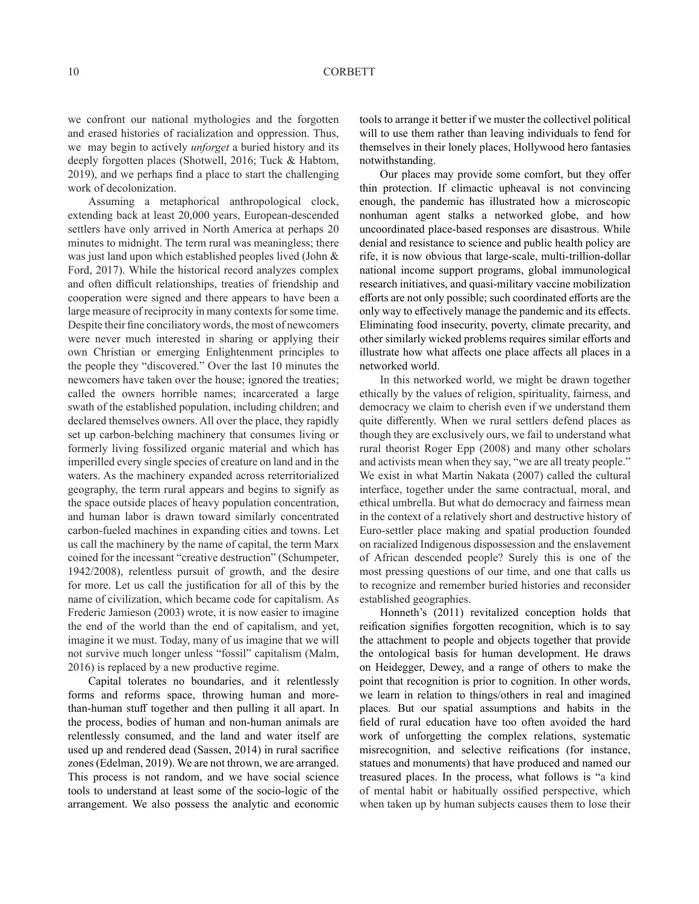we confront our national mythologies and the forgotten and erased histories of racialization and oppression. Thus, we may begin to actively *unforget* a buried history and its deeply forgotten places (Shotwell, 2016; Tuck & Habtom, 2019), and we perhaps find a place to start the challenging work of decolonization.

Assuming a metaphorical anthropological clock, extending back at least 20,000 years, European-descended settlers have only arrived in North America at perhaps 20 minutes to midnight. The term rural was meaningless; there was just land upon which established peoples lived (John & Ford, 2017). While the historical record analyzes complex and often difficult relationships, treaties of friendship and cooperation were signed and there appears to have been a large measure of reciprocity in many contexts for some time. Despite their fine conciliatory words, the most of newcomers were never much interested in sharing or applying their own Christian or emerging Enlightenment principles to the people they "discovered." Over the last 10 minutes the newcomers have taken over the house; ignored the treaties; called the owners horrible names; incarcerated a large swath of the established population, including children; and declared themselves owners. All over the place, they rapidly set up carbon-belching machinery that consumes living or formerly living fossilized organic material and which has imperilled every single species of creature on land and in the waters. As the machinery expanded across reterritorialized geography, the term rural appears and begins to signify as the space outside places of heavy population concentration, and human labor is drawn toward similarly concentrated carbon-fueled machines in expanding cities and towns. Let us call the machinery by the name of capital, the term Marx coined for the incessant "creative destruction" (Schumpeter, 1942/2008), relentless pursuit of growth, and the desire for more. Let us call the justification for all of this by the name of civilization, which became code for capitalism. As Frederic Jamieson (2003) wrote, it is now easier to imagine the end of the world than the end of capitalism, and yet, imagine it we must. Today, many of us imagine that we will not survive much longer unless "fossil" capitalism (Malm, 2016) is replaced by a new productive regime.

Capital tolerates no boundaries, and it relentlessly forms and reforms space, throwing human and morethan-human stuff together and then pulling it all apart. In the process, bodies of human and non-human animals are relentlessly consumed, and the land and water itself are used up and rendered dead (Sassen, 2014) in rural sacrifice zones (Edelman, 2019). We are not thrown, we are arranged. This process is not random, and we have social science tools to understand at least some of the socio-logic of the arrangement. We also possess the analytic and economic tools to arrange it better if we muster the collectivel political will to use them rather than leaving individuals to fend for themselves in their lonely places, Hollywood hero fantasies notwithstanding.

Our places may provide some comfort, but they offer thin protection. If climactic upheaval is not convincing enough, the pandemic has illustrated how a microscopic nonhuman agent stalks a networked globe, and how uncoordinated place-based responses are disastrous. While denial and resistance to science and public health policy are rife, it is now obvious that large-scale, multi-trillion-dollar national income support programs, global immunological research initiatives, and quasi-military vaccine mobilization efforts are not only possible; such coordinated efforts are the only way to effectively manage the pandemic and its effects. Eliminating food insecurity, poverty, climate precarity, and other similarly wicked problems requires similar efforts and illustrate how what affects one place affects all places in a networked world.

In this networked world, we might be drawn together ethically by the values of religion, spirituality, fairness, and democracy we claim to cherish even if we understand them quite differently. When we rural settlers defend places as though they are exclusively ours, we fail to understand what rural theorist Roger Epp (2008) and many other scholars and activists mean when they say, "we are all treaty people." We exist in what Martin Nakata (2007) called the cultural interface, together under the same contractual, moral, and ethical umbrella. But what do democracy and fairness mean in the context of a relatively short and destructive history of Euro-settler place making and spatial production founded on racialized Indigenous dispossession and the enslavement of African descended people? Surely this is one of the most pressing questions of our time, and one that calls us to recognize and remember buried histories and reconsider established geographies.

Honneth's (2011) revitalized conception holds that reification signifies forgotten recognition, which is to say the attachment to people and objects together that provide the ontological basis for human development. He draws on Heidegger, Dewey, and a range of others to make the point that recognition is prior to cognition. In other words, we learn in relation to things/others in real and imagined places. But our spatial assumptions and habits in the field of rural education have too often avoided the hard work of unforgetting the complex relations, systematic misrecognition, and selective reifications (for instance, statues and monuments) that have produced and named our treasured places. In the process, what follows is "a kind of mental habit or habitually ossified perspective, which when taken up by human subjects causes them to lose their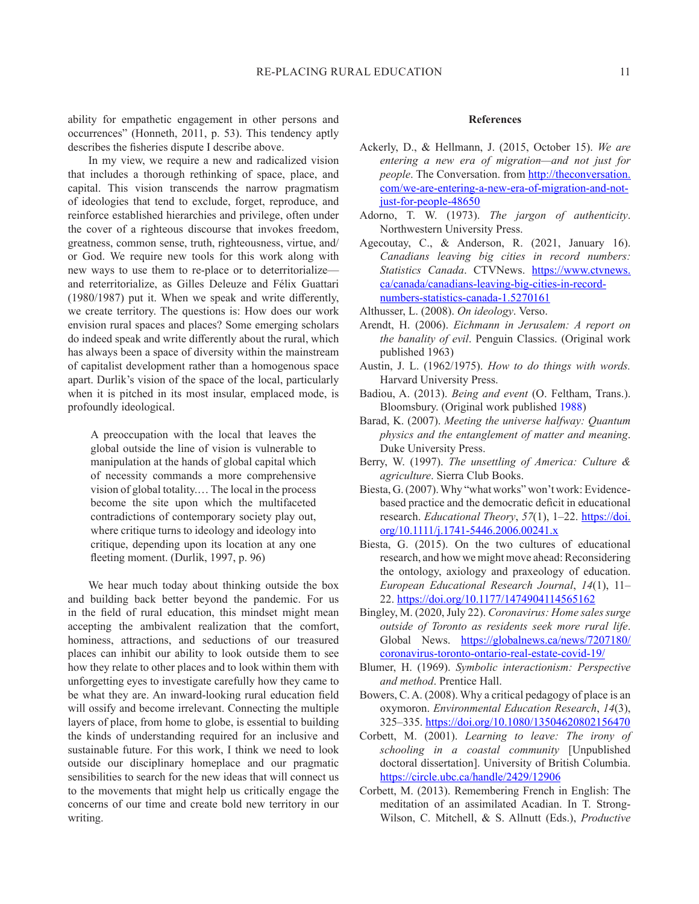ability for empathetic engagement in other persons and occurrences" (Honneth, 2011, p. 53). This tendency aptly describes the fisheries dispute I describe above.

In my view, we require a new and radicalized vision that includes a thorough rethinking of space, place, and capital. This vision transcends the narrow pragmatism of ideologies that tend to exclude, forget, reproduce, and reinforce established hierarchies and privilege, often under the cover of a righteous discourse that invokes freedom, greatness, common sense, truth, righteousness, virtue, and/ or God. We require new tools for this work along with new ways to use them to re-place or to deterritorialize and reterritorialize, as Gilles Deleuze and Félix Guattari (1980/1987) put it. When we speak and write differently, we create territory. The questions is: How does our work envision rural spaces and places? Some emerging scholars do indeed speak and write differently about the rural, which has always been a space of diversity within the mainstream of capitalist development rather than a homogenous space apart. Durlik's vision of the space of the local, particularly when it is pitched in its most insular, emplaced mode, is profoundly ideological.

A preoccupation with the local that leaves the global outside the line of vision is vulnerable to manipulation at the hands of global capital which of necessity commands a more comprehensive vision of global totality.… The local in the process become the site upon which the multifaceted contradictions of contemporary society play out, where critique turns to ideology and ideology into critique, depending upon its location at any one fleeting moment. (Durlik, 1997, p. 96)

We hear much today about thinking outside the box and building back better beyond the pandemic. For us in the field of rural education, this mindset might mean accepting the ambivalent realization that the comfort, hominess, attractions, and seductions of our treasured places can inhibit our ability to look outside them to see how they relate to other places and to look within them with unforgetting eyes to investigate carefully how they came to be what they are. An inward-looking rural education field will ossify and become irrelevant. Connecting the multiple layers of place, from home to globe, is essential to building the kinds of understanding required for an inclusive and sustainable future. For this work, I think we need to look outside our disciplinary homeplace and our pragmatic sensibilities to search for the new ideas that will connect us to the movements that might help us critically engage the concerns of our time and create bold new territory in our writing.

#### **References**

- Ackerly, D., & Hellmann, J. (2015, October 15). *We are entering a new era of migration—and not just for people*. The Conversation. from http://theconversation. com/we-are-entering-a-new-era-of-migration-and-notjust-for-people-48650
- Adorno, T. W. (1973). *The jargon of authenticity*. Northwestern University Press.
- Agecoutay, C., & Anderson, R. (2021, January 16). *Canadians leaving big cities in record numbers: Statistics Canada*. CTVNews. https://www.ctvnews. ca/canada/canadians-leaving-big-cities-in-recordnumbers-statistics-canada-1.5270161
- Althusser, L. (2008). *On ideology*. Verso.
- Arendt, H. (2006). *Eichmann in Jerusalem: A report on the banality of evil*. Penguin Classics. (Original work published 1963)
- Austin, J. L. (1962/1975). *How to do things with words.*  Harvard University Press.
- Badiou, A. (2013). *Being and event* (O. Feltham, Trans.). Bloomsbury. (Original work published 1988)
- Barad, K. (2007). *Meeting the universe halfway: Quantum physics and the entanglement of matter and meaning*. Duke University Press.
- Berry, W. (1997). *The unsettling of America: Culture & agriculture*. Sierra Club Books.
- Biesta, G. (2007). Why "what works" won't work: Evidencebased practice and the democratic deficit in educational research. *Educational Theory*, *57*(1), 1–22. https://doi. org/10.1111/j.1741-5446.2006.00241.x
- Biesta, G. (2015). On the two cultures of educational research, and how we might move ahead: Reconsidering the ontology, axiology and praxeology of education. *European Educational Research Journal*, *14*(1), 11– 22. https://doi.org/10.1177/1474904114565162
- Bingley, M. (2020, July 22). *Coronavirus: Home sales surge outside of Toronto as residents seek more rural life*. Global News. https://globalnews.ca/news/7207180/ coronavirus-toronto-ontario-real-estate-covid-19/
- Blumer, H. (1969). *Symbolic interactionism: Perspective and method*. Prentice Hall.
- Bowers, C. A. (2008). Why a critical pedagogy of place is an oxymoron. *Environmental Education Research*, *14*(3), 325–335. https://doi.org/10.1080/13504620802156470
- Corbett, M. (2001). *Learning to leave: The irony of schooling in a coastal community* [Unpublished doctoral dissertation]. University of British Columbia. https://circle.ubc.ca/handle/2429/12906
- Corbett, M. (2013). Remembering French in English: The meditation of an assimilated Acadian. In T. Strong-Wilson, C. Mitchell, & S. Allnutt (Eds.), *Productive*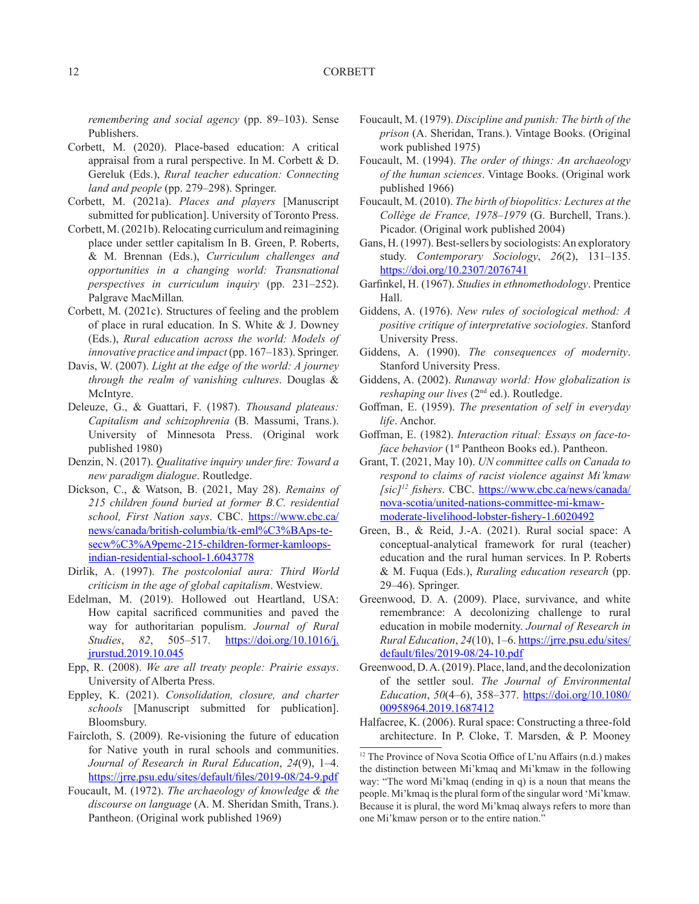*remembering and social agency* (pp. 89–103). Sense Publishers.

- Corbett, M. (2020). Place-based education: A critical appraisal from a rural perspective. In M. Corbett & D. Gereluk (Eds.), *Rural teacher education: Connecting land and people* (pp. 279–298). Springer.
- Corbett, M. (2021a). *Places and players* [Manuscript submitted for publication]. University of Toronto Press.
- Corbett, M. (2021b). Relocating curriculum and reimagining place under settler capitalism In B. Green, P. Roberts, & M. Brennan (Eds.), *Curriculum challenges and opportunities in a changing world: Transnational perspectives in curriculum inquiry* (pp. 231–252). Palgrave MacMillan*.*
- Corbett, M. (2021c). Structures of feeling and the problem of place in rural education. In S. White & J. Downey (Eds.), *Rural education across the world: Models of innovative practice and impact* (pp. 167–183). Springer.
- Davis, W. (2007). *Light at the edge of the world: A journey through the realm of vanishing cultures*. Douglas & McIntyre.
- Deleuze, G., & Guattari, F. (1987). *Thousand plateaus: Capitalism and schizophrenia* (B. Massumi, Trans.). University of Minnesota Press. (Original work published 1980)
- Denzin, N. (2017). *Qualitative inquiry under fire: Toward a new paradigm dialogue*. Routledge.
- Dickson, C., & Watson, B. (2021, May 28). *Remains of 215 children found buried at former B.C. residential school, First Nation says*. CBC. https://www.cbc.ca/ news/canada/british-columbia/tk-eml%C3%BAps-tesecw%C3%A9pemc-215-children-former-kamloopsindian-residential-school-1.6043778
- Dirlik, A. (1997). *The postcolonial aura: Third World criticism in the age of global capitalism*. Westview.
- Edelman, M. (2019). Hollowed out Heartland, USA: How capital sacrificed communities and paved the way for authoritarian populism. *Journal of Rural Studies*, *82*, 505–517. https://doi.org/10.1016/j. jrurstud.2019.10.045
- Epp, R. (2008). *We are all treaty people: Prairie essays*. University of Alberta Press.
- Eppley, K. (2021). *Consolidation, closure, and charter schools* [Manuscript submitted for publication]. Bloomsbury.
- Faircloth, S. (2009). Re-visioning the future of education for Native youth in rural schools and communities. *Journal of Research in Rural Education*, *24*(9), 1–4. https://jrre.psu.edu/sites/default/files/2019-08/24-9.pdf
- Foucault, M. (1972). *The archaeology of knowledge & the discourse on language* (A. M. Sheridan Smith, Trans.). Pantheon. (Original work published 1969)
- Foucault, M. (1979). *Discipline and punish: The birth of the prison* (A. Sheridan, Trans.). Vintage Books. (Original work published 1975)
- Foucault, M. (1994). *The order of things: An archaeology of the human sciences*. Vintage Books. (Original work published 1966)
- Foucault, M. (2010). *The birth of biopolitics: Lectures at the Collège de France, 1978–1979* (G. Burchell, Trans.). Picador. (Original work published 2004)
- Gans, H. (1997). Best-sellers by sociologists: An exploratory study. *Contemporary Sociology*, *26*(2), 131–135. https://doi.org/10.2307/2076741
- Garfinkel, H. (1967). *Studies in ethnomethodology*. Prentice Hall.
- Giddens, A. (1976). *New rules of sociological method: A positive critique of interpretative sociologies*. Stanford University Press.
- Giddens, A. (1990). *The consequences of modernity*. Stanford University Press.
- Giddens, A. (2002). *Runaway world: How globalization is reshaping our lives* (2nd ed.). Routledge.
- Goffman, E. (1959). *The presentation of self in everyday life*. Anchor.
- Goffman, E. (1982). *Interaction ritual: Essays on face-toface behavior* (1<sup>st</sup> Pantheon Books ed.). Pantheon.
- Grant, T. (2021, May 10). *UN committee calls on Canada to respond to claims of racist violence against Mi'kmaw [sic]12 fishers*. CBC. https://www.cbc.ca/news/canada/ nova-scotia/united-nations-committee-mi-kmawmoderate-livelihood-lobster-fishery-1.6020492
- Green, B., & Reid, J.-A. (2021). Rural social space: A conceptual-analytical framework for rural (teacher) education and the rural human services. In P. Roberts & M. Fuqua (Eds.), *Ruraling education research* (pp. 29–46). Springer.
- Greenwood, D. A. (2009). Place, survivance, and white remembrance: A decolonizing challenge to rural education in mobile modernity. *Journal of Research in Rural Education*, *24*(10), 1–6. https://jrre.psu.edu/sites/ default/files/2019-08/24-10.pdf
- Greenwood, D. A. (2019). Place, land, and the decolonization of the settler soul. *The Journal of Environmental Education*, *50*(4–6), 358–377. https://doi.org/10.1080/ 00958964.2019.1687412
- Halfacree, K. (2006). Rural space: Constructing a three-fold architecture. In P. Cloke, T. Marsden, & P. Mooney

<sup>&</sup>lt;sup>12</sup> The Province of Nova Scotia Office of L'nu Affairs (n.d.) makes the distinction between Mi'kmaq and Mi'kmaw in the following way: "The word Mi'kmaq (ending in q) is a noun that means the people. Mi'kmaq is the plural form of the singular word 'Mi'kmaw. Because it is plural, the word Mi'kmaq always refers to more than one Mi'kmaw person or to the entire nation."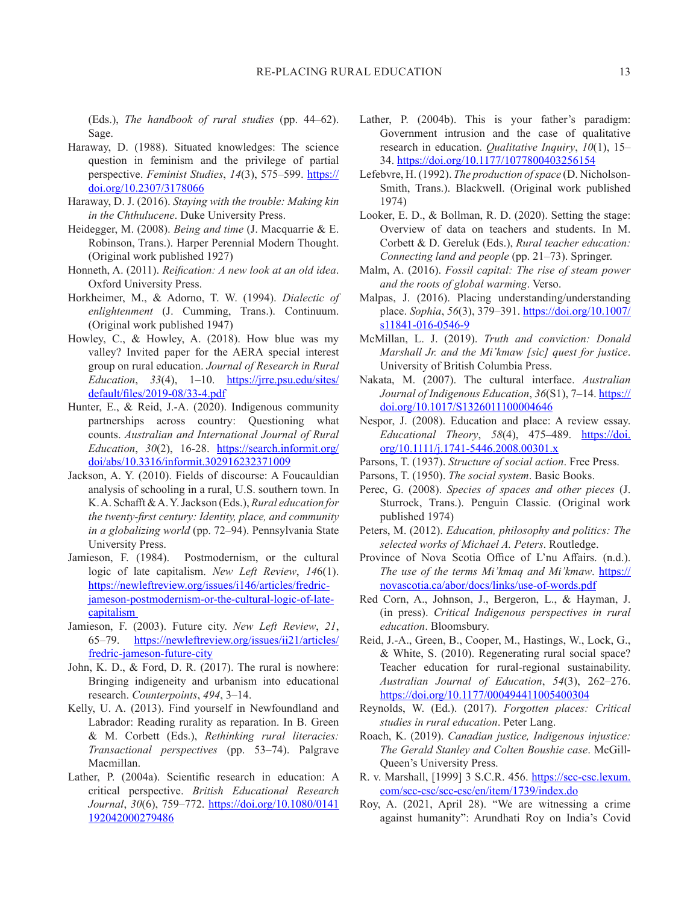(Eds.), *The handbook of rural studies* (pp. 44–62). Sage.

- Haraway, D. (1988). Situated knowledges: The science question in feminism and the privilege of partial perspective. *Feminist Studies*, *14*(3), 575–599. https:// doi.org/10.2307/3178066
- Haraway, D. J. (2016). *Staying with the trouble: Making kin in the Chthulucene*. Duke University Press.
- Heidegger, M. (2008). *Being and time* (J. Macquarrie & E. Robinson, Trans.). Harper Perennial Modern Thought. (Original work published 1927)
- Honneth, A. (2011). *Reification: A new look at an old idea*. Oxford University Press.
- Horkheimer, M., & Adorno, T. W. (1994). *Dialectic of enlightenment* (J. Cumming, Trans.). Continuum. (Original work published 1947)
- Howley, C., & Howley, A. (2018). How blue was my valley? Invited paper for the AERA special interest group on rural education. *Journal of Research in Rural Education*, *33*(4), 1–10. https://jrre.psu.edu/sites/ default/files/2019-08/33-4.pdf
- Hunter, E., & Reid, J.-A. (2020). Indigenous community partnerships across country: Questioning what counts. *Australian and International Journal of Rural Education*, *30*(2), 16-28. https://search.informit.org/ doi/abs/10.3316/informit.302916232371009
- Jackson, A. Y. (2010). Fields of discourse: A Foucauldian analysis of schooling in a rural, U.S. southern town. In K. A. Schafft & A. Y. Jackson (Eds.), *Rural education for the twenty-first century: Identity, place, and community in a globalizing world* (pp. 72–94). Pennsylvania State University Press.
- Jamieson, F. (1984). Postmodernism, or the cultural logic of late capitalism. *New Left Review*, *14*6(1). https://newleftreview.org/issues/i146/articles/fredricjameson-postmodernism-or-the-cultural-logic-of-latecapitalism
- Jamieson, F. (2003). Future city. *New Left Review*, *21*, 65–79. https://newleftreview.org/issues/ii21/articles/ fredric-jameson-future-city
- John, K. D., & Ford, D. R. (2017). The rural is nowhere: Bringing indigeneity and urbanism into educational research. *Counterpoints*, *494*, 3–14.
- Kelly, U. A. (2013). Find yourself in Newfoundland and Labrador: Reading rurality as reparation. In B. Green & M. Corbett (Eds.), *Rethinking rural literacies: Transactional perspectives* (pp. 53–74). Palgrave Macmillan.
- Lather, P. (2004a). Scientific research in education: A critical perspective. *British Educational Research Journal*, *30*(6), 759–772. https://doi.org/10.1080/0141 192042000279486
- Lather, P. (2004b). This is your father's paradigm: Government intrusion and the case of qualitative research in education. *Qualitative Inquiry*, *10*(1), 15– 34. https://doi.org/10.1177/1077800403256154
- Lefebvre, H. (1992). *The production of space* (D. Nicholson-Smith, Trans.). Blackwell. (Original work published 1974)
- Looker, E. D., & Bollman, R. D. (2020). Setting the stage: Overview of data on teachers and students. In M. Corbett & D. Gereluk (Eds.), *Rural teacher education: Connecting land and people* (pp. 21–73). Springer.
- Malm, A. (2016). *Fossil capital: The rise of steam power and the roots of global warming*. Verso.
- Malpas, J. (2016). Placing understanding/understanding place. *Sophia*, *56*(3), 379–391. https://doi.org/10.1007/ s11841-016-0546-9
- McMillan, L. J. (2019). *Truth and conviction: Donald Marshall Jr. and the Mi'kmaw [sic] quest for justice*. University of British Columbia Press.
- Nakata, M. (2007). The cultural interface. *Australian Journal of Indigenous Education*, *36*(S1), 7–14. https:// doi.org/10.1017/S1326011100004646
- Nespor, J. (2008). Education and place: A review essay. *Educational Theory*, *58*(4), 475–489. https://doi. org/10.1111/j.1741-5446.2008.00301.x
- Parsons, T. (1937). *Structure of social action*. Free Press.
- Parsons, T. (1950). *The social system*. Basic Books.
- Perec, G. (2008). *Species of spaces and other pieces* (J. Sturrock, Trans.). Penguin Classic. (Original work published 1974)
- Peters, M. (2012). *Education, philosophy and politics: The selected works of Michael A. Peters*. Routledge.
- Province of Nova Scotia Office of L'nu Affairs. (n.d.). *The use of the terms Mi'kmaq and Mi'kmaw.* https:// novascotia.ca/abor/docs/links/use-of-words.pdf
- Red Corn, A., Johnson, J., Bergeron, L., & Hayman, J. (in press). *Critical Indigenous perspectives in rural education*. Bloomsbury.
- Reid, J.-A., Green, B., Cooper, M., Hastings, W., Lock, G., & White, S. (2010). Regenerating rural social space? Teacher education for rural-regional sustainability. *Australian Journal of Education*, *54*(3), 262–276. https://doi.org/10.1177/000494411005400304
- Reynolds, W. (Ed.). (2017). *Forgotten places: Critical studies in rural education*. Peter Lang.
- Roach, K. (2019). *Canadian justice, Indigenous injustice: The Gerald Stanley and Colten Boushie case*. McGill-Queen's University Press.
- R. v. Marshall, [1999] 3 S.C.R. 456. https://scc-csc.lexum. com/scc-csc/scc-csc/en/item/1739/index.do
- Roy, A. (2021, April 28). "We are witnessing a crime against humanity": Arundhati Roy on India's Covid